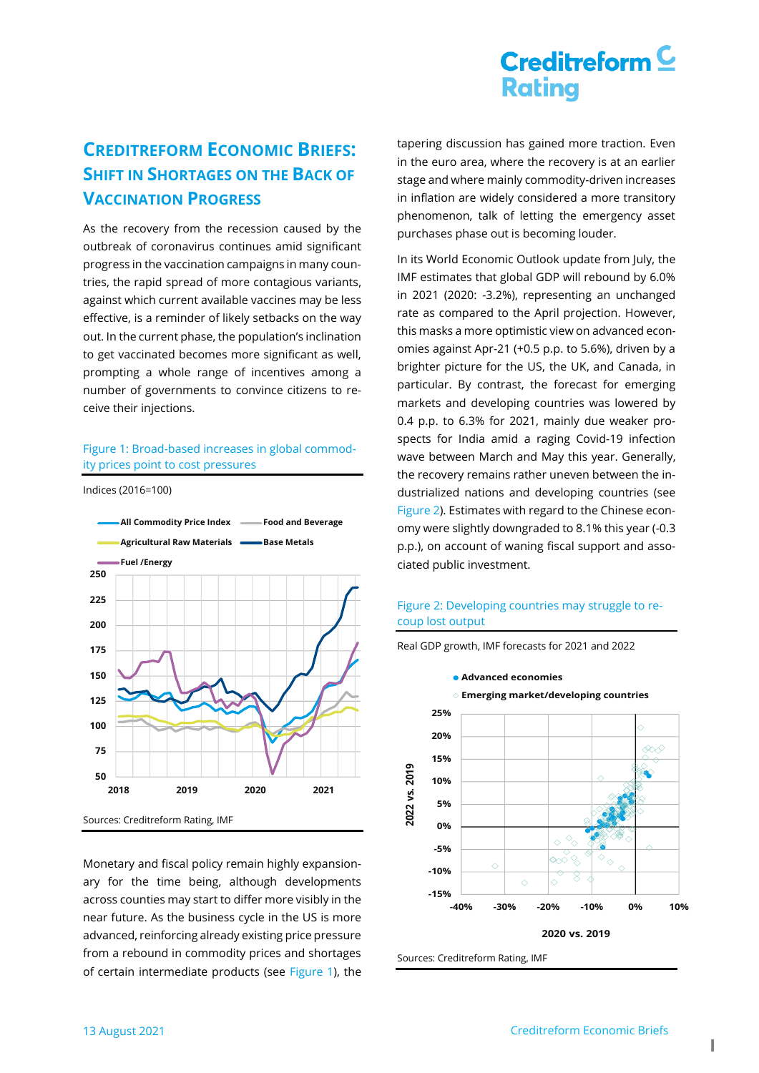# $C$ reditreform $C$ **Rating**

### **CREDITREFORM ECONOMIC BRIEFS: SHIFT IN SHORTAGES ON THE BACK OF VACCINATION PROGRESS**

As the recovery from the recession caused by the outbreak of coronavirus continues amid significant progress in the vaccination campaigns in many countries, the rapid spread of more contagious variants, against which current available vaccines may be less effective, is a reminder of likely setbacks on the way out. In the current phase, the population's inclination to get vaccinated becomes more significant as well, prompting a whole range of incentives among a number of governments to convince citizens to receive their injections.

### <span id="page-0-0"></span>Figure 1: Broad-based increases in global commodity prices point to cost pressures

Indices (2016=100)



Monetary and fiscal policy remain highly expansionary for the time being, although developments across counties may start to differ more visibly in the near future. As the business cycle in the US is more advanced, reinforcing already existing price pressure from a rebound in commodity prices and shortages of certain intermediate products (see [Figure 1\)](#page-0-0), the

tapering discussion has gained more traction. Even in the euro area, where the recovery is at an earlier stage and where mainly commodity-driven increases in inflation are widely considered a more transitory phenomenon, talk of letting the emergency asset purchases phase out is becoming louder.

In its World Economic Outlook update from July, the IMF estimates that global GDP will rebound by 6.0% in 2021 (2020: -3.2%), representing an unchanged rate as compared to the April projection. However, this masks a more optimistic view on advanced economies against Apr-21 (+0.5 p.p. to 5.6%), driven by a brighter picture for the US, the UK, and Canada, in particular. By contrast, the forecast for emerging markets and developing countries was lowered by 0.4 p.p. to 6.3% for 2021, mainly due weaker prospects for India amid a raging Covid-19 infection wave between March and May this year. Generally, the recovery remains rather uneven between the industrialized nations and developing countries (see [Figure 2\)](#page-0-1). Estimates with regard to the Chinese economy were slightly downgraded to 8.1% this year (-0.3 p.p.), on account of waning fiscal support and associated public investment.

### <span id="page-0-1"></span>Figure 2: Developing countries may struggle to recoup lost output



Sources: Creditreform Rating, IMF

Real GDP growth, IMF forecasts for 2021 and 2022

**1**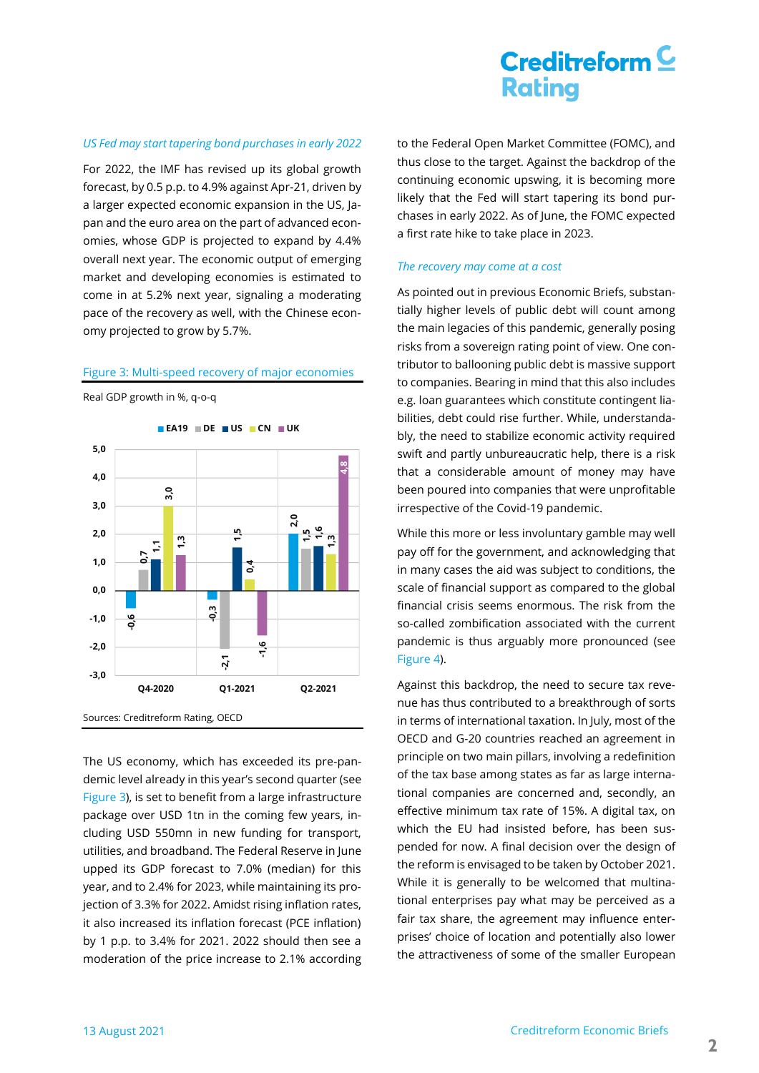# Creditreform  $\subseteq$ **Rating**

#### *US Fed may start tapering bond purchases in early 2022*

For 2022, the IMF has revised up its global growth forecast, by 0.5 p.p. to 4.9% against Apr-21, driven by a larger expected economic expansion in the US, Japan and the euro area on the part of advanced economies, whose GDP is projected to expand by 4.4% overall next year. The economic output of emerging market and developing economies is estimated to come in at 5.2% next year, signaling a moderating pace of the recovery as well, with the Chinese economy projected to grow by 5.7%.

#### <span id="page-1-0"></span>Figure 3: Multi-speed recovery of major economies

Real GDP growth in %, q-o-q



The US economy, which has exceeded its pre-pandemic level already in this year's second quarter (see [Figure 3\)](#page-1-0), is set to benefit from a large infrastructure package over USD 1tn in the coming few years, including USD 550mn in new funding for transport, utilities, and broadband. The Federal Reserve in June upped its GDP forecast to 7.0% (median) for this year, and to 2.4% for 2023, while maintaining its projection of 3.3% for 2022. Amidst rising inflation rates, it also increased its inflation forecast (PCE inflation) by 1 p.p. to 3.4% for 2021. 2022 should then see a moderation of the price increase to 2.1% according to the Federal Open Market Committee (FOMC), and thus close to the target. Against the backdrop of the continuing economic upswing, it is becoming more likely that the Fed will start tapering its bond purchases in early 2022. As of June, the FOMC expected a first rate hike to take place in 2023.

#### *The recovery may come at a cost*

As pointed out in previous Economic Briefs, substantially higher levels of public debt will count among the main legacies of this pandemic, generally posing risks from a sovereign rating point of view. One contributor to ballooning public debt is massive support to companies. Bearing in mind that this also includes e.g. loan guarantees which constitute contingent liabilities, debt could rise further. While, understandably, the need to stabilize economic activity required swift and partly unbureaucratic help, there is a risk that a considerable amount of money may have been poured into companies that were unprofitable irrespective of the Covid-19 pandemic.

While this more or less involuntary gamble may well pay off for the government, and acknowledging that in many cases the aid was subject to conditions, the scale of financial support as compared to the global financial crisis seems enormous. The risk from the so-called zombification associated with the current pandemic is thus arguably more pronounced (see [Figure 4\)](#page-2-0).

Against this backdrop, the need to secure tax revenue has thus contributed to a breakthrough of sorts in terms of international taxation. In July, most of the OECD and G-20 countries reached an agreement in principle on two main pillars, involving a redefinition of the tax base among states as far as large international companies are concerned and, secondly, an effective minimum tax rate of 15%. A digital tax, on which the EU had insisted before, has been suspended for now. A final decision over the design of the reform is envisaged to be taken by October 2021. While it is generally to be welcomed that multinational enterprises pay what may be perceived as a fair tax share, the agreement may influence enterprises' choice of location and potentially also lower the attractiveness of some of the smaller European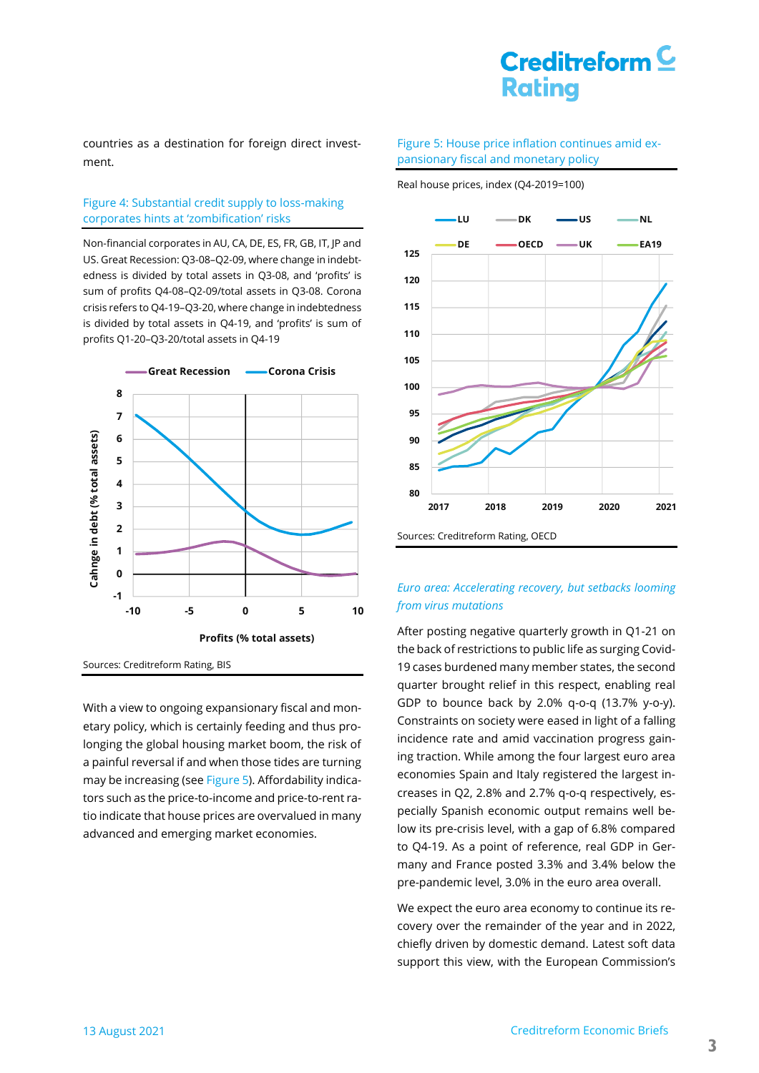# $C$ reditreform $C$ **Rating**

countries as a destination for foreign direct investment.

### <span id="page-2-0"></span>Figure 4: Substantial credit supply to loss-making corporates hints at 'zombification' risks

Non-financial corporates in AU, CA, DE, ES, FR, GB, IT, JP and US. Great Recession: Q3-08–Q2-09, where change in indebtedness is divided by total assets in Q3-08, and 'profits' is sum of profits Q4-08–Q2-09/total assets in Q3-08. Corona crisis refers to Q4-19–Q3-20, where change in indebtedness is divided by total assets in Q4-19, and 'profits' is sum of profits Q1-20–Q3-20/total assets in Q4-19



With a view to ongoing expansionary fiscal and monetary policy, which is certainly feeding and thus prolonging the global housing market boom, the risk of a painful reversal if and when those tides are turning may be increasing (see [Figure 5\)](#page-2-1). Affordability indicators such as the price-to-income and price-to-rent ratio indicate that house prices are overvalued in many advanced and emerging market economies.

#### <span id="page-2-1"></span>Figure 5: House price inflation continues amid expansionary fiscal and monetary policy

Real house prices, index (Q4-2019=100)



### *Euro area: Accelerating recovery, but setbacks looming from virus mutations*

After posting negative quarterly growth in Q1-21 on the back of restrictions to public life as surging Covid-19 cases burdened many member states, the second quarter brought relief in this respect, enabling real GDP to bounce back by 2.0% q-o-q (13.7% y-o-y). Constraints on society were eased in light of a falling incidence rate and amid vaccination progress gaining traction. While among the four largest euro area economies Spain and Italy registered the largest increases in Q2, 2.8% and 2.7% q-o-q respectively, especially Spanish economic output remains well below its pre-crisis level, with a gap of 6.8% compared to Q4-19. As a point of reference, real GDP in Germany and France posted 3.3% and 3.4% below the pre-pandemic level, 3.0% in the euro area overall.

We expect the euro area economy to continue its recovery over the remainder of the year and in 2022, chiefly driven by domestic demand. Latest soft data support this view, with the European Commission's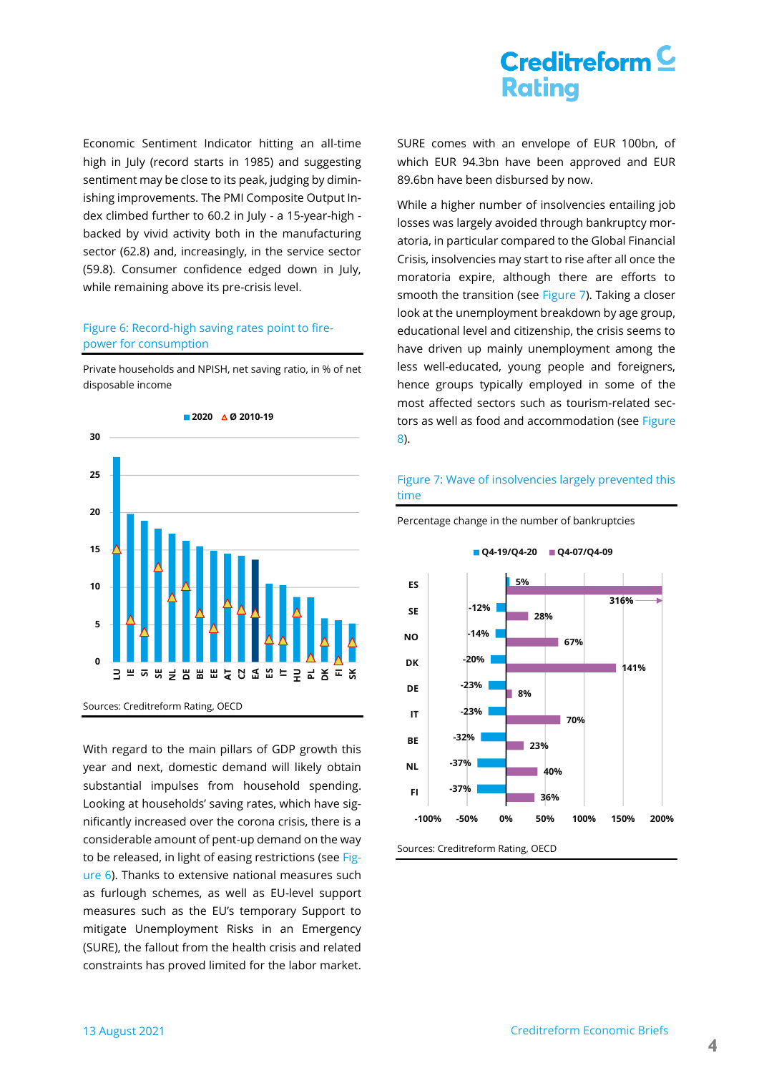# $C$ reditreform $C$ **Rating**

Economic Sentiment Indicator hitting an all-time high in July (record starts in 1985) and suggesting sentiment may be close to its peak, judging by diminishing improvements. The PMI Composite Output Index climbed further to 60.2 in July - a 15-year-high backed by vivid activity both in the manufacturing sector (62.8) and, increasingly, in the service sector (59.8). Consumer confidence edged down in July, while remaining above its pre-crisis level.

### <span id="page-3-0"></span>Figure 6: Record-high saving rates point to firepower for consumption

Private households and NPISH, net saving ratio, in % of net disposable income



With regard to the main pillars of GDP growth this year and next, domestic demand will likely obtain substantial impulses from household spending. Looking at households' saving rates, which have significantly increased over the corona crisis, there is a considerable amount of pent-up demand on the way to be released, in light of easing restrictions (see [Fig](#page-3-0)[ure 6\)](#page-3-0). Thanks to extensive national measures such as furlough schemes, as well as EU-level support measures such as the EU's temporary Support to mitigate Unemployment Risks in an Emergency (SURE), the fallout from the health crisis and related constraints has proved limited for the labor market.

SURE comes with an envelope of EUR 100bn, of which EUR 94.3bn have been approved and EUR 89.6bn have been disbursed by now.

While a higher number of insolvencies entailing job losses was largely avoided through bankruptcy moratoria, in particular compared to the Global Financial Crisis, insolvencies may start to rise after all once the moratoria expire, although there are efforts to smooth the transition (see [Figure 7\)](#page-3-1). Taking a closer look at the unemployment breakdown by age group, educational level and citizenship, the crisis seems to have driven up mainly unemployment among the less well-educated, young people and foreigners, hence groups typically employed in some of the most affected sectors such as tourism-related sectors as well as food and accommodation (see [Figure](#page-4-0)  [8\)](#page-4-0).

### <span id="page-3-1"></span>Figure 7: Wave of insolvencies largely prevented this time

**Q4-19/Q4-20 Q4-07/Q4-09**



Percentage change in the number of bankruptcies

Sources: Creditreform Rating, OECD

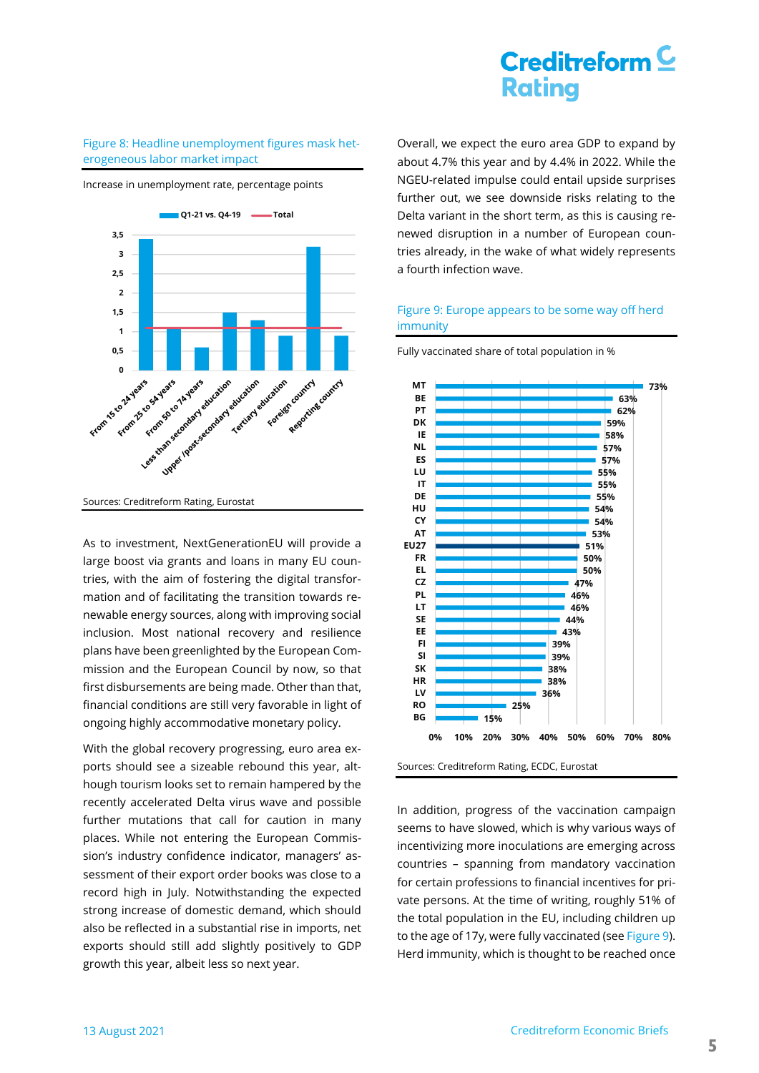### <span id="page-4-0"></span>Figure 8: Headline unemployment figures mask heterogeneous labor market impact

Increase in unemployment rate, percentage points



Sources: Creditreform Rating, Eurostat

As to investment, NextGenerationEU will provide a large boost via grants and loans in many EU countries, with the aim of fostering the digital transformation and of facilitating the transition towards renewable energy sources, along with improving social inclusion. Most national recovery and resilience plans have been greenlighted by the European Commission and the European Council by now, so that first disbursements are being made. Other than that, financial conditions are still very favorable in light of ongoing highly accommodative monetary policy.

With the global recovery progressing, euro area exports should see a sizeable rebound this year, although tourism looks set to remain hampered by the recently accelerated Delta virus wave and possible further mutations that call for caution in many places. While not entering the European Commission's industry confidence indicator, managers' assessment of their export order books was close to a record high in July. Notwithstanding the expected strong increase of domestic demand, which should also be reflected in a substantial rise in imports, net exports should still add slightly positively to GDP growth this year, albeit less so next year.

Overall, we expect the euro area GDP to expand by about 4.7% this year and by 4.4% in 2022. While the NGEU-related impulse could entail upside surprises further out, we see downside risks relating to the Delta variant in the short term, as this is causing renewed disruption in a number of European countries already, in the wake of what widely represents a fourth infection wave.

### <span id="page-4-1"></span>Figure 9: Europe appears to be some way off herd immunity

Fully vaccinated share of total population in %



Sources: Creditreform Rating, ECDC, Eurostat

In addition, progress of the vaccination campaign seems to have slowed, which is why various ways of incentivizing more inoculations are emerging across countries – spanning from mandatory vaccination for certain professions to financial incentives for private persons. At the time of writing, roughly 51% of the total population in the EU, including children up to the age of 17y, were fully vaccinated (see [Figure](#page-4-1) 9). Herd immunity, which is thought to be reached once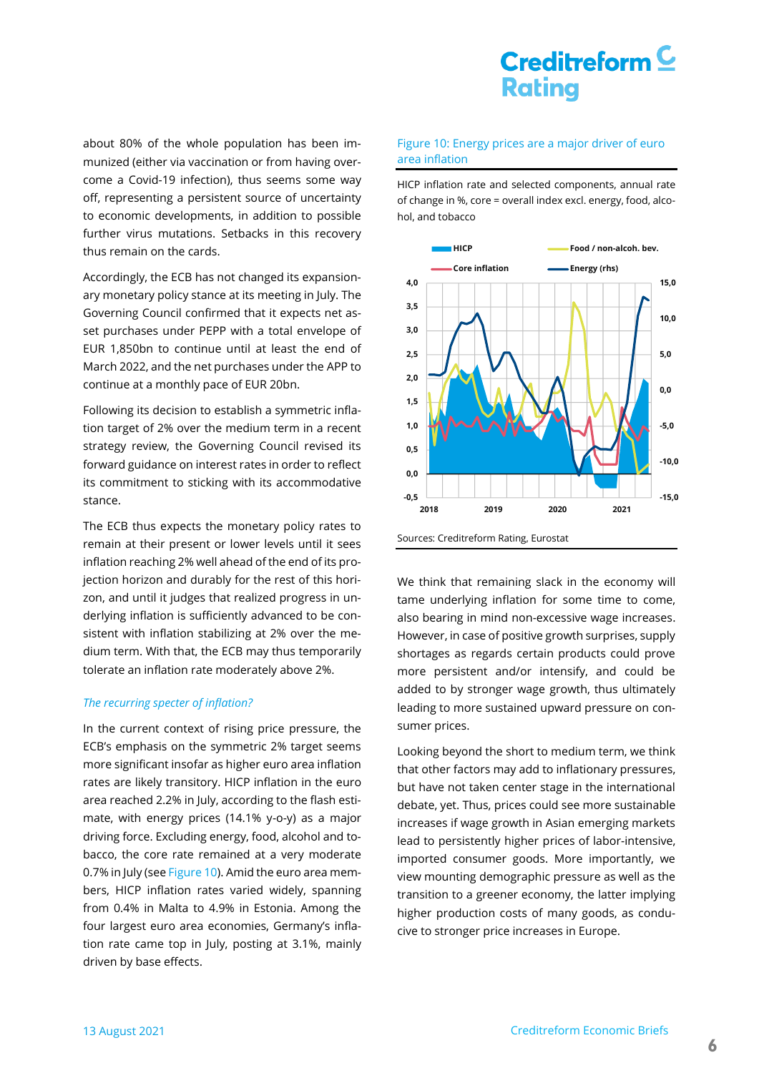about 80% of the whole population has been immunized (either via vaccination or from having overcome a Covid-19 infection), thus seems some way off, representing a persistent source of uncertainty to economic developments, in addition to possible further virus mutations. Setbacks in this recovery thus remain on the cards.

Accordingly, the ECB has not changed its expansionary monetary policy stance at its meeting in July. The Governing Council confirmed that it expects net asset purchases under PEPP with a total envelope of EUR 1,850bn to continue until at least the end of March 2022, and the net purchases under the APP to continue at a monthly pace of EUR 20bn.

Following its decision to establish a symmetric inflation target of 2% over the medium term in a recent strategy review, the Governing Council revised its forward guidance on interest rates in order to reflect its commitment to sticking with its accommodative stance.

The ECB thus expects the monetary policy rates to remain at their present or lower levels until it sees inflation reaching 2% well ahead of the end of its projection horizon and durably for the rest of this horizon, and until it judges that realized progress in underlying inflation is sufficiently advanced to be consistent with inflation stabilizing at 2% over the medium term. With that, the ECB may thus temporarily tolerate an inflation rate moderately above 2%.

#### *The recurring specter of inflation?*

In the current context of rising price pressure, the ECB's emphasis on the symmetric 2% target seems more significant insofar as higher euro area inflation rates are likely transitory. HICP inflation in the euro area reached 2.2% in July, according to the flash estimate, with energy prices (14.1% y-o-y) as a major driving force. Excluding energy, food, alcohol and tobacco, the core rate remained at a very moderate 0.7% in July (see [Figure 10\)](#page-5-0). Amid the euro area members, HICP inflation rates varied widely, spanning from 0.4% in Malta to 4.9% in Estonia. Among the four largest euro area economies, Germany's inflation rate came top in July, posting at 3.1%, mainly driven by base effects.

#### <span id="page-5-0"></span>Figure 10: Energy prices are a major driver of euro area inflation

HICP inflation rate and selected components, annual rate of change in %, core = overall index excl. energy, food, alcohol, and tobacco



Sources: Creditreform Rating, Eurostat

We think that remaining slack in the economy will tame underlying inflation for some time to come, also bearing in mind non-excessive wage increases. However, in case of positive growth surprises, supply shortages as regards certain products could prove more persistent and/or intensify, and could be added to by stronger wage growth, thus ultimately leading to more sustained upward pressure on consumer prices.

Looking beyond the short to medium term, we think that other factors may add to inflationary pressures, but have not taken center stage in the international debate, yet. Thus, prices could see more sustainable increases if wage growth in Asian emerging markets lead to persistently higher prices of labor-intensive, imported consumer goods. More importantly, we view mounting demographic pressure as well as the transition to a greener economy, the latter implying higher production costs of many goods, as conducive to stronger price increases in Europe.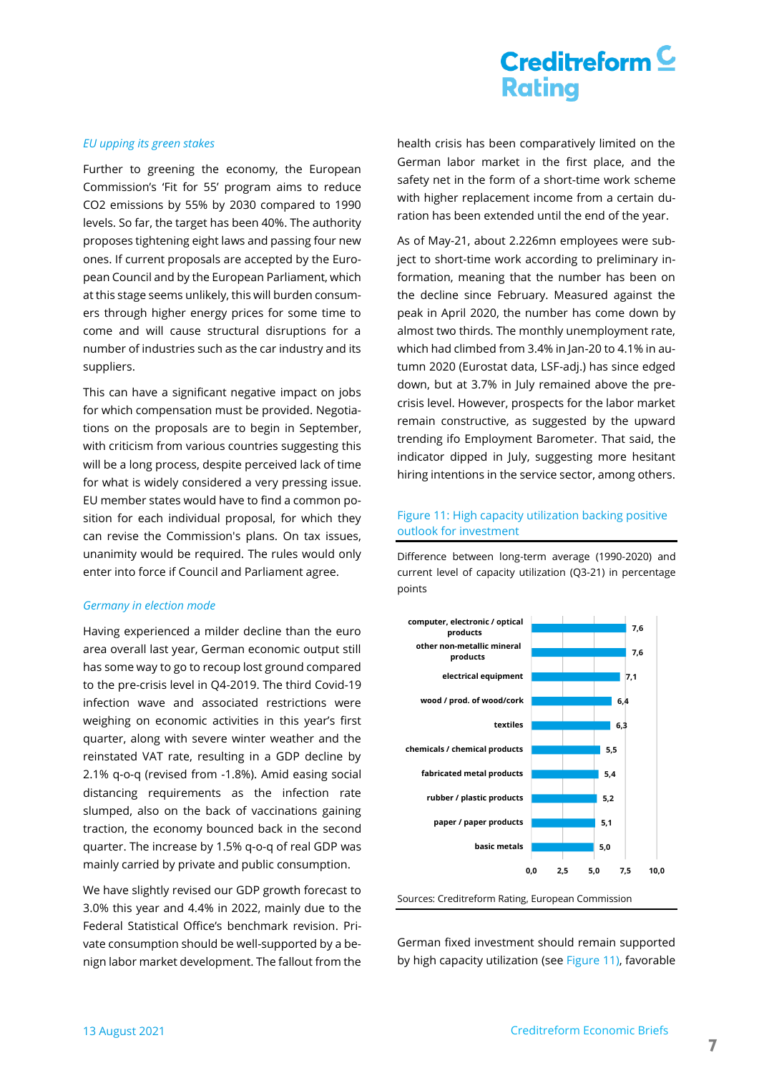# Creditreform  $\subseteq$ **Rating**

#### *EU upping its green stakes*

Further to greening the economy, the European Commission's 'Fit for 55' program aims to reduce CO2 emissions by 55% by 2030 compared to 1990 levels. So far, the target has been 40%. The authority proposes tightening eight laws and passing four new ones. If current proposals are accepted by the European Council and by the European Parliament, which at this stage seems unlikely, this will burden consumers through higher energy prices for some time to come and will cause structural disruptions for a number of industries such as the car industry and its suppliers.

This can have a significant negative impact on jobs for which compensation must be provided. Negotiations on the proposals are to begin in September, with criticism from various countries suggesting this will be a long process, despite perceived lack of time for what is widely considered a very pressing issue. EU member states would have to find a common position for each individual proposal, for which they can revise the Commission's plans. On tax issues, unanimity would be required. The rules would only enter into force if Council and Parliament agree.

#### *Germany in election mode*

Having experienced a milder decline than the euro area overall last year, German economic output still has some way to go to recoup lost ground compared to the pre-crisis level in Q4-2019. The third Covid-19 infection wave and associated restrictions were weighing on economic activities in this year's first quarter, along with severe winter weather and the reinstated VAT rate, resulting in a GDP decline by 2.1% q-o-q (revised from -1.8%). Amid easing social distancing requirements as the infection rate slumped, also on the back of vaccinations gaining traction, the economy bounced back in the second quarter. The increase by 1.5% q-o-q of real GDP was mainly carried by private and public consumption.

We have slightly revised our GDP growth forecast to 3.0% this year and 4.4% in 2022, mainly due to the Federal Statistical Office's benchmark revision. Private consumption should be well-supported by a benign labor market development. The fallout from the health crisis has been comparatively limited on the German labor market in the first place, and the safety net in the form of a short-time work scheme with higher replacement income from a certain duration has been extended until the end of the year.

As of May-21, about 2.226mn employees were subject to short-time work according to preliminary information, meaning that the number has been on the decline since February. Measured against the peak in April 2020, the number has come down by almost two thirds. The monthly unemployment rate, which had climbed from 3.4% in Jan-20 to 4.1% in autumn 2020 (Eurostat data, LSF-adj.) has since edged down, but at 3.7% in July remained above the precrisis level. However, prospects for the labor market remain constructive, as suggested by the upward trending ifo Employment Barometer. That said, the indicator dipped in July, suggesting more hesitant hiring intentions in the service sector, among others.

### <span id="page-6-0"></span>Figure 11: High capacity utilization backing positive outlook for investment

Difference between long-term average (1990-2020) and current level of capacity utilization (Q3-21) in percentage points



Sources: Creditreform Rating, European Commission

German fixed investment should remain supported by high capacity utilization (see [Figure 11\)](#page-6-0), favorable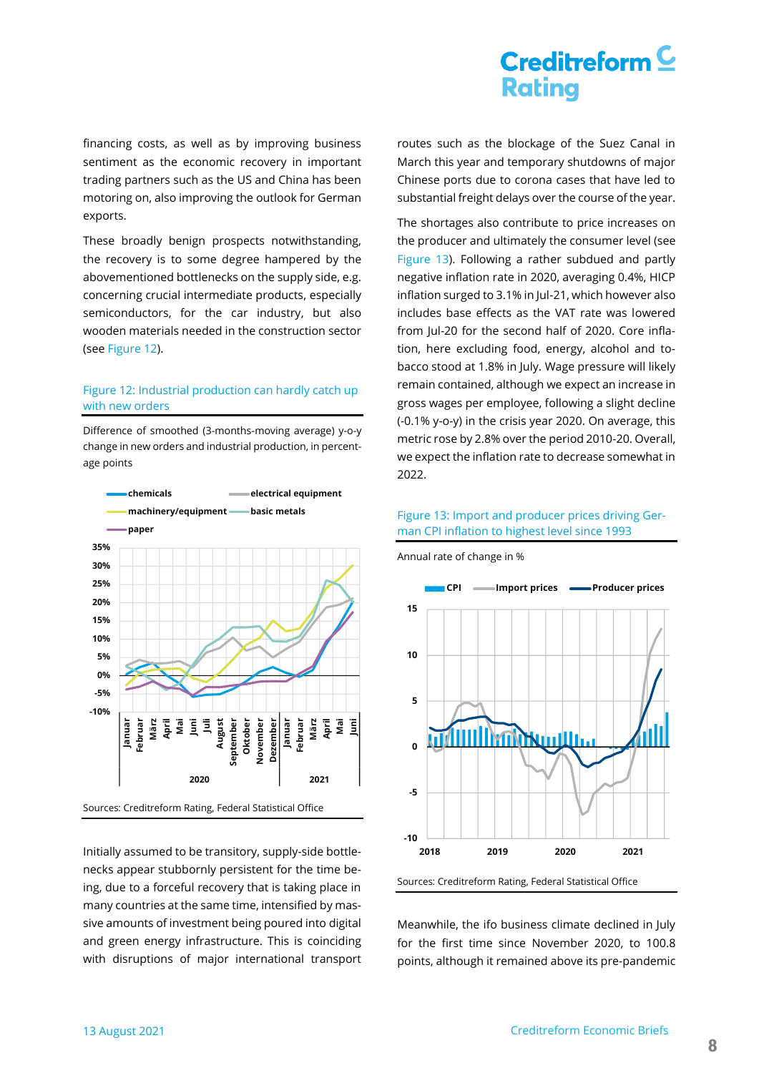financing costs, as well as by improving business sentiment as the economic recovery in important trading partners such as the US and China has been motoring on, also improving the outlook for German exports.

These broadly benign prospects notwithstanding, the recovery is to some degree hampered by the abovementioned bottlenecks on the supply side, e.g. concerning crucial intermediate products, especially semiconductors, for the car industry, but also wooden materials needed in the construction sector (se[e Figure 12\).](#page-7-0)

### <span id="page-7-0"></span>Figure 12: Industrial production can hardly catch up with new orders

Difference of smoothed (3-months-moving average) y-o-y change in new orders and industrial production, in percentage points



Initially assumed to be transitory, supply-side bottlenecks appear stubbornly persistent for the time being, due to a forceful recovery that is taking place in many countries at the same time, intensified by massive amounts of investment being poured into digital and green energy infrastructure. This is coinciding with disruptions of major international transport routes such as the blockage of the Suez Canal in March this year and temporary shutdowns of major Chinese ports due to corona cases that have led to substantial freight delays over the course of the year.

The shortages also contribute to price increases on the producer and ultimately the consumer level (see [Figure](#page-7-1) 13). Following a rather subdued and partly negative inflation rate in 2020, averaging 0.4%, HICP inflation surged to 3.1% in Jul-21, which however also includes base effects as the VAT rate was lowered from Jul-20 for the second half of 2020. Core inflation, here excluding food, energy, alcohol and tobacco stood at 1.8% in July. Wage pressure will likely remain contained, although we expect an increase in gross wages per employee, following a slight decline (-0.1% y-o-y) in the crisis year 2020. On average, this metric rose by 2.8% over the period 2010-20. Overall, we expect the inflation rate to decrease somewhat in 2022.

### <span id="page-7-1"></span>Figure 13: Import and producer prices driving German CPI inflation to highest level since 1993

Annual rate of change in %



Meanwhile, the ifo business climate declined in July for the first time since November 2020, to 100.8 points, although it remained above its pre-pandemic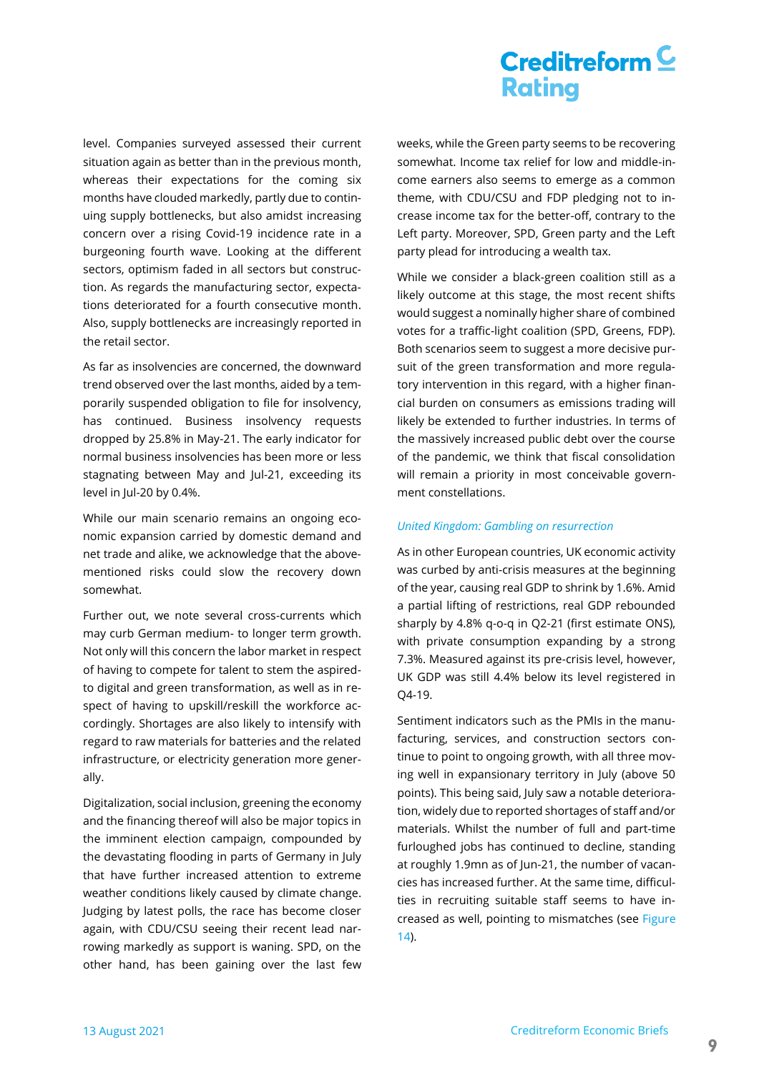# Creditreform  $\subseteq$ **Rating**

level. Companies surveyed assessed their current situation again as better than in the previous month, whereas their expectations for the coming six months have clouded markedly, partly due to continuing supply bottlenecks, but also amidst increasing concern over a rising Covid-19 incidence rate in a burgeoning fourth wave. Looking at the different sectors, optimism faded in all sectors but construction. As regards the manufacturing sector, expectations deteriorated for a fourth consecutive month. Also, supply bottlenecks are increasingly reported in the retail sector.

As far as insolvencies are concerned, the downward trend observed over the last months, aided by a temporarily suspended obligation to file for insolvency, has continued. Business insolvency requests dropped by 25.8% in May-21. The early indicator for normal business insolvencies has been more or less stagnating between May and Jul-21, exceeding its level in Jul-20 by 0.4%.

While our main scenario remains an ongoing economic expansion carried by domestic demand and net trade and alike, we acknowledge that the abovementioned risks could slow the recovery down somewhat.

Further out, we note several cross-currents which may curb German medium- to longer term growth. Not only will this concern the labor market in respect of having to compete for talent to stem the aspiredto digital and green transformation, as well as in respect of having to upskill/reskill the workforce accordingly. Shortages are also likely to intensify with regard to raw materials for batteries and the related infrastructure, or electricity generation more generally.

Digitalization, social inclusion, greening the economy and the financing thereof will also be major topics in the imminent election campaign, compounded by the devastating flooding in parts of Germany in July that have further increased attention to extreme weather conditions likely caused by climate change. Judging by latest polls, the race has become closer again, with CDU/CSU seeing their recent lead narrowing markedly as support is waning. SPD, on the other hand, has been gaining over the last few weeks, while the Green party seems to be recovering somewhat. Income tax relief for low and middle-income earners also seems to emerge as a common theme, with CDU/CSU and FDP pledging not to increase income tax for the better-off, contrary to the Left party. Moreover, SPD, Green party and the Left party plead for introducing a wealth tax.

While we consider a black-green coalition still as a likely outcome at this stage, the most recent shifts would suggest a nominally higher share of combined votes for a traffic-light coalition (SPD, Greens, FDP). Both scenarios seem to suggest a more decisive pursuit of the green transformation and more regulatory intervention in this regard, with a higher financial burden on consumers as emissions trading will likely be extended to further industries. In terms of the massively increased public debt over the course of the pandemic, we think that fiscal consolidation will remain a priority in most conceivable government constellations.

#### *United Kingdom: Gambling on resurrection*

As in other European countries, UK economic activity was curbed by anti-crisis measures at the beginning of the year, causing real GDP to shrink by 1.6%. Amid a partial lifting of restrictions, real GDP rebounded sharply by 4.8% q-o-q in Q2-21 (first estimate ONS), with private consumption expanding by a strong 7.3%. Measured against its pre-crisis level, however, UK GDP was still 4.4% below its level registered in Q4-19.

Sentiment indicators such as the PMIs in the manufacturing, services, and construction sectors continue to point to ongoing growth, with all three moving well in expansionary territory in July (above 50 points). This being said, July saw a notable deterioration, widely due to reported shortages of staff and/or materials. Whilst the number of full and part-time furloughed jobs has continued to decline, standing at roughly 1.9mn as of Jun-21, the number of vacancies has increased further. At the same time, difficulties in recruiting suitable staff seems to have increased as well, pointing to mismatches (see [Figure](#page-9-0)  [14\)](#page-9-0).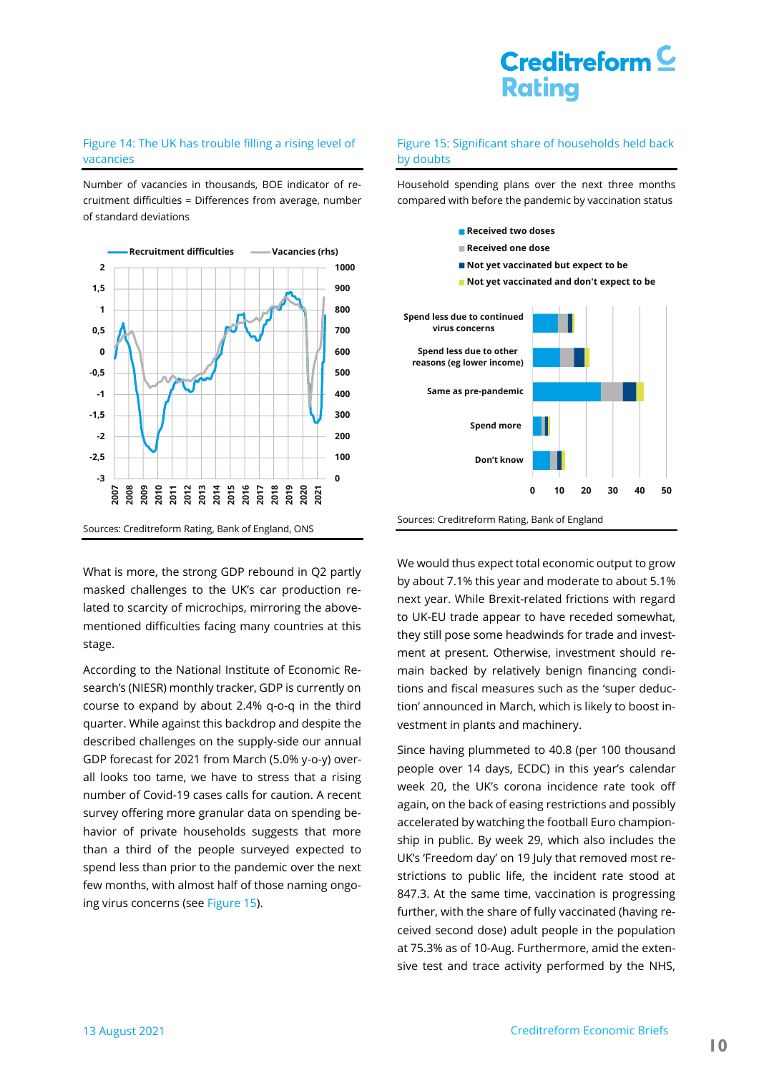### <span id="page-9-0"></span>Figure 14: The UK has trouble filling a rising level of vacancies

Number of vacancies in thousands, BOE indicator of recruitment difficulties = Differences from average, number of standard deviations



What is more, the strong GDP rebound in Q2 partly masked challenges to the UK's car production related to scarcity of microchips, mirroring the abovementioned difficulties facing many countries at this stage.

According to the National Institute of Economic Research's (NIESR) monthly tracker, GDP is currently on course to expand by about 2.4% q-o-q in the third quarter. While against this backdrop and despite the described challenges on the supply-side our annual GDP forecast for 2021 from March (5.0% y-o-y) overall looks too tame, we have to stress that a rising number of Covid-19 cases calls for caution. A recent survey offering more granular data on spending behavior of private households suggests that more than a third of the people surveyed expected to spend less than prior to the pandemic over the next few months, with almost half of those naming ongoing virus concerns (se[e Figure 15\)](#page-9-1).

### <span id="page-9-1"></span>Figure 15: Significant share of households held back by doubts

Household spending plans over the next three months compared with before the pandemic by vaccination status



We would thus expect total economic output to grow by about 7.1% this year and moderate to about 5.1% next year. While Brexit-related frictions with regard to UK-EU trade appear to have receded somewhat, they still pose some headwinds for trade and investment at present. Otherwise, investment should remain backed by relatively benign financing conditions and fiscal measures such as the 'super deduction' announced in March, which is likely to boost investment in plants and machinery.

Since having plummeted to 40.8 (per 100 thousand people over 14 days, ECDC) in this year's calendar week 20, the UK's corona incidence rate took off again, on the back of easing restrictions and possibly accelerated by watching the football Euro championship in public. By week 29, which also includes the UK's 'Freedom day' on 19 July that removed most restrictions to public life, the incident rate stood at 847.3. At the same time, vaccination is progressing further, with the share of fully vaccinated (having received second dose) adult people in the population at 75.3% as of 10-Aug. Furthermore, amid the extensive test and trace activity performed by the NHS,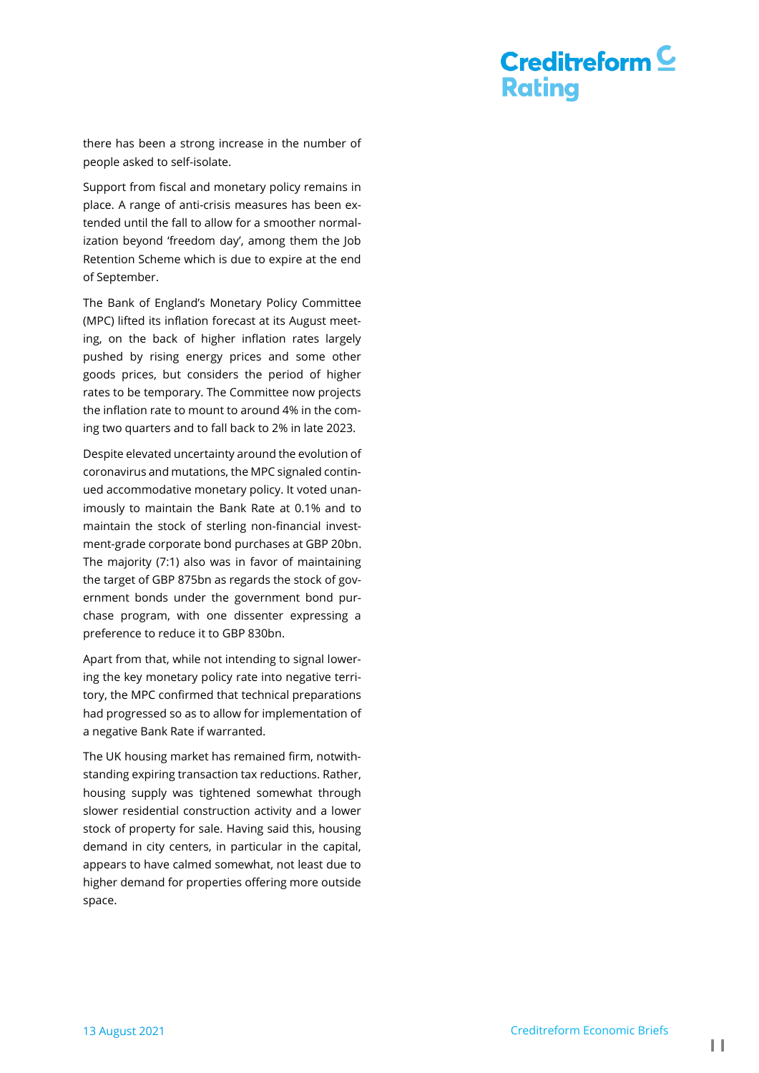there has been a strong increase in the number of people asked to self-isolate.

Support from fiscal and monetary policy remains in place. A range of anti-crisis measures has been extended until the fall to allow for a smoother normalization beyond 'freedom day', among them the Job Retention Scheme which is due to expire at the end of September.

The Bank of England's Monetary Policy Committee (MPC) lifted its inflation forecast at its August meeting, on the back of higher inflation rates largely pushed by rising energy prices and some other goods prices, but considers the period of higher rates to be temporary. The Committee now projects the inflation rate to mount to around 4% in the coming two quarters and to fall back to 2% in late 2023.

Despite elevated uncertainty around the evolution of coronavirus and mutations, the MPC signaled continued accommodative monetary policy. It voted unanimously to maintain the Bank Rate at 0.1% and to maintain the stock of sterling non-financial investment-grade corporate bond purchases at GBP 20bn. The majority (7:1) also was in favor of maintaining the target of GBP 875bn as regards the stock of government bonds under the government bond purchase program, with one dissenter expressing a preference to reduce it to GBP 830bn.

Apart from that, while not intending to signal lowering the key monetary policy rate into negative territory, the MPC confirmed that technical preparations had progressed so as to allow for implementation of a negative Bank Rate if warranted.

The UK housing market has remained firm, notwithstanding expiring transaction tax reductions. Rather, housing supply was tightened somewhat through slower residential construction activity and a lower stock of property for sale. Having said this, housing demand in city centers, in particular in the capital, appears to have calmed somewhat, not least due to higher demand for properties offering more outside space.